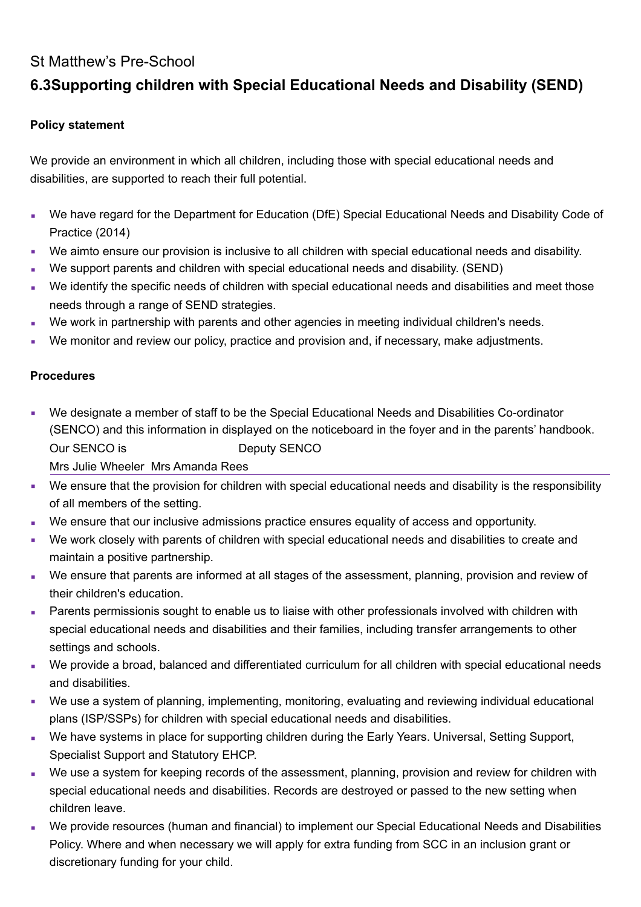## St Matthew's Pre-School

# **6.3Supporting children with Special Educational Needs and Disability (SEND)**

### **Policy statement**

We provide an environment in which all children, including those with special educational needs and disabilities, are supported to reach their full potential.

- We have regard for the Department for Education (DfE) Special Educational Needs and Disability Code of Practice (2014)
- We aimto ensure our provision is inclusive to all children with special educational needs and disability.
- We support parents and children with special educational needs and disability. (SEND)
- We identify the specific needs of children with special educational needs and disabilities and meet those needs through a range of SEND strategies.
- We work in partnership with parents and other agencies in meeting individual children's needs.
- We monitor and review our policy, practice and provision and, if necessary, make adjustments.

#### **Procedures**

- We designate a member of staff to be the Special Educational Needs and Disabilities Co-ordinator (SENCO) and this information in displayed on the noticeboard in the foyer and in the parents' handbook. Our SENCO is Deputy SENCO Mrs Julie Wheeler Mrs Amanda Rees
- We ensure that the provision for children with special educational needs and disability is the responsibility of all members of the setting.
- We ensure that our inclusive admissions practice ensures equality of access and opportunity.
- We work closely with parents of children with special educational needs and disabilities to create and maintain a positive partnership.
- We ensure that parents are informed at all stages of the assessment, planning, provision and review of their children's education.
- **Parents permissionis sought to enable us to liaise with other professionals involved with children with** special educational needs and disabilities and their families, including transfer arrangements to other settings and schools.
- We provide a broad, balanced and differentiated curriculum for all children with special educational needs and disabilities.
- We use a system of planning, implementing, monitoring, evaluating and reviewing individual educational plans (ISP/SSPs) for children with special educational needs and disabilities.
- We have systems in place for supporting children during the Early Years. Universal, Setting Support, Specialist Support and Statutory EHCP.
- We use a system for keeping records of the assessment, planning, provision and review for children with special educational needs and disabilities. Records are destroyed or passed to the new setting when children leave.
- We provide resources (human and financial) to implement our Special Educational Needs and Disabilities Policy. Where and when necessary we will apply for extra funding from SCC in an inclusion grant or discretionary funding for your child.